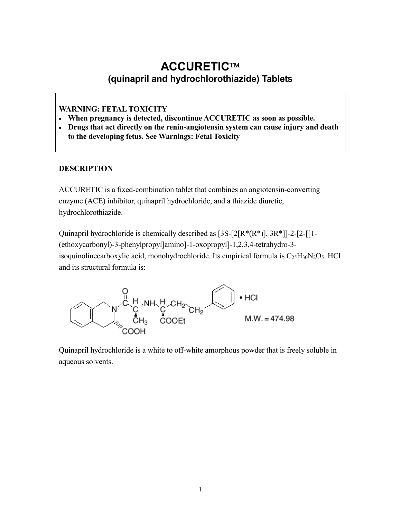# **ACCURETIC (quinapril and hydrochlorothiazide) Tablets**

## **WARNING: FETAL TOXICITY**

- **When pregnancy is detected, discontinue ACCURETIC as soon as possible.**
- **Drugs that act directly on the renin-angiotensin system can cause injury and death to the developing fetus. See Warnings: Fetal Toxicity**

#### **DESCRIPTION**

ACCURETIC is a fixed-combination tablet that combines an angiotensin-converting enzyme (ACE) inhibitor, quinapril hydrochloride, and a thiazide diuretic, hydrochlorothiazide.

Quinapril hydrochloride is chemically described as  $[3S-[2]R^*(R^*)]$ ,  $3R^*$ ]]-2- $[2-[1-1]$ (ethoxycarbonyl)-3-phenylpropyl]amino]-1-oxopropyl]-1,2,3,4-tetrahydro-3 isoquinolinecarboxylic acid, monohydrochloride. Its empirical formula is  $C_{25}H_{30}N_2O_5$ . HCl and its structural formula is:



Quinapril hydrochloride is a white to off-white amorphous powder that is freely soluble in aqueous solvents.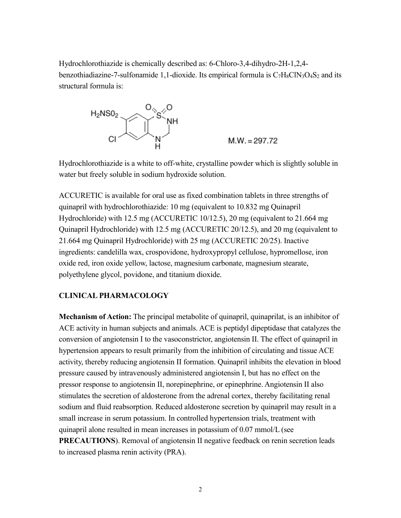Hydrochlorothiazide is chemically described as: 6-Chloro-3,4-dihydro-2H-1,2,4 benzothiadiazine-7-sulfonamide 1,1-dioxide. Its empirical formula is  $C_7H_8CIN_3O_4S_2$  and its structural formula is:



Hydrochlorothiazide is a white to off-white, crystalline powder which is slightly soluble in water but freely soluble in sodium hydroxide solution.

ACCURETIC is available for oral use as fixed combination tablets in three strengths of quinapril with hydrochlorothiazide: 10 mg (equivalent to 10.832 mg Quinapril Hydrochloride) with 12.5 mg (ACCURETIC 10/12.5), 20 mg (equivalent to 21.664 mg Quinapril Hydrochloride) with 12.5 mg (ACCURETIC 20/12.5), and 20 mg (equivalent to 21.664 mg Quinapril Hydrochloride) with 25 mg (ACCURETIC 20/25). Inactive ingredients: candelilla wax, crospovidone, hydroxypropyl cellulose, hypromellose, iron oxide red, iron oxide yellow, lactose, magnesium carbonate, magnesium stearate, polyethylene glycol, povidone, and titanium dioxide.

#### **CLINICAL PHARMACOLOGY**

**Mechanism of Action:** The principal metabolite of quinapril, quinaprilat, is an inhibitor of ACE activity in human subjects and animals. ACE is peptidyl dipeptidase that catalyzes the conversion of angiotensin I to the vasoconstrictor, angiotensin II. The effect of quinapril in hypertension appears to result primarily from the inhibition of circulating and tissue ACE activity, thereby reducing angiotensin II formation. Quinapril inhibits the elevation in blood pressure caused by intravenously administered angiotensin I, but has no effect on the pressor response to angiotensin II, norepinephrine, or epinephrine. Angiotensin II also stimulates the secretion of aldosterone from the adrenal cortex, thereby facilitating renal sodium and fluid reabsorption. Reduced aldosterone secretion by quinapril may result in a small increase in serum potassium. In controlled hypertension trials, treatment with quinapril alone resulted in mean increases in potassium of 0.07 mmol/L (see **PRECAUTIONS**). Removal of angiotensin II negative feedback on renin secretion leads to increased plasma renin activity (PRA).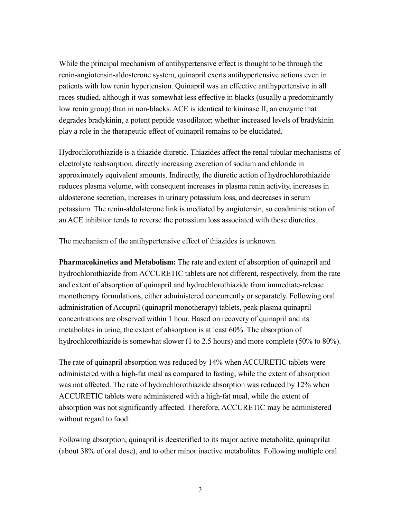While the principal mechanism of antihypertensive effect is thought to be through the renin-angiotensin-aldosterone system, quinapril exerts antihypertensive actions even in patients with low renin hypertension. Quinapril was an effective antihypertensive in all races studied, although it was somewhat less effective in blacks (usually a predominantly low renin group) than in non-blacks. ACE is identical to kininase II, an enzyme that degrades bradykinin, a potent peptide vasodilator; whether increased levels of bradykinin play a role in the therapeutic effect of quinapril remains to be elucidated.

Hydrochlorothiazide is a thiazide diuretic. Thiazides affect the renal tubular mechanisms of electrolyte reabsorption, directly increasing excretion of sodium and chloride in approximately equivalent amounts. Indirectly, the diuretic action of hydrochlorothiazide reduces plasma volume, with consequent increases in plasma renin activity, increases in aldosterone secretion, increases in urinary potassium loss, and decreases in serum potassium. The renin-aldolsterone link is mediated by angiotensin, so coadministration of an ACE inhibitor tends to reverse the potassium loss associated with these diuretics.

The mechanism of the antihypertensive effect of thiazides is unknown.

**Pharmacokinetics and Metabolism:** The rate and extent of absorption of quinapril and hydrochlorothiazide from ACCURETIC tablets are not different, respectively, from the rate and extent of absorption of quinapril and hydrochlorothiazide from immediate-release monotherapy formulations, either administered concurrently or separately. Following oral administration of Accupril (quinapril monotherapy) tablets, peak plasma quinapril concentrations are observed within 1 hour. Based on recovery of quinapril and its metabolites in urine, the extent of absorption is at least 60%. The absorption of hydrochlorothiazide is somewhat slower (1 to 2.5 hours) and more complete (50% to 80%).

The rate of quinapril absorption was reduced by 14% when ACCURETIC tablets were administered with a high-fat meal as compared to fasting, while the extent of absorption was not affected. The rate of hydrochlorothiazide absorption was reduced by 12% when ACCURETIC tablets were administered with a high-fat meal, while the extent of absorption was not significantly affected. Therefore, ACCURETIC may be administered without regard to food.

Following absorption, quinapril is deesterified to its major active metabolite, quinaprilat (about 38% of oral dose), and to other minor inactive metabolites. Following multiple oral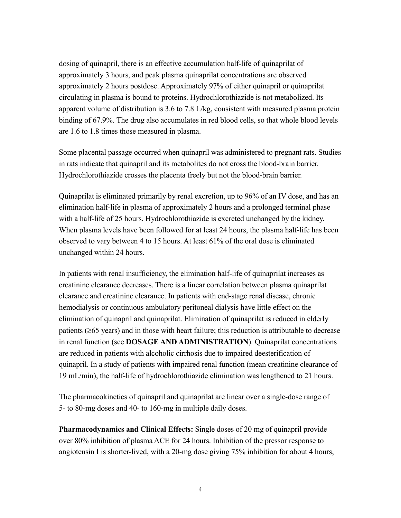dosing of quinapril, there is an effective accumulation half-life of quinaprilat of approximately 3 hours, and peak plasma quinaprilat concentrations are observed approximately 2 hours postdose. Approximately 97% of either quinapril or quinaprilat circulating in plasma is bound to proteins. Hydrochlorothiazide is not metabolized. Its apparent volume of distribution is 3.6 to 7.8 L/kg, consistent with measured plasma protein binding of 67.9%. The drug also accumulates in red blood cells, so that whole blood levels are 1.6 to 1.8 times those measured in plasma.

Some placental passage occurred when quinapril was administered to pregnant rats. Studies in rats indicate that quinapril and its metabolites do not cross the blood-brain barrier. Hydrochlorothiazide crosses the placenta freely but not the blood-brain barrier.

Quinaprilat is eliminated primarily by renal excretion, up to 96% of an IV dose, and has an elimination half-life in plasma of approximately 2 hours and a prolonged terminal phase with a half-life of 25 hours. Hydrochlorothiazide is excreted unchanged by the kidney. When plasma levels have been followed for at least 24 hours, the plasma half-life has been observed to vary between 4 to 15 hours. At least 61% of the oral dose is eliminated unchanged within 24 hours.

In patients with renal insufficiency, the elimination half-life of quinaprilat increases as creatinine clearance decreases. There is a linear correlation between plasma quinaprilat clearance and creatinine clearance. In patients with end-stage renal disease, chronic hemodialysis or continuous ambulatory peritoneal dialysis have little effect on the elimination of quinapril and quinaprilat. Elimination of quinaprilat is reduced in elderly patients ( $\geq$ 65 years) and in those with heart failure; this reduction is attributable to decrease in renal function (see **DOSAGE AND ADMINISTRATION**). Quinaprilat concentrations are reduced in patients with alcoholic cirrhosis due to impaired deesterification of quinapril. In a study of patients with impaired renal function (mean creatinine clearance of 19 mL/min), the half-life of hydrochlorothiazide elimination was lengthened to 21 hours.

The pharmacokinetics of quinapril and quinaprilat are linear over a single-dose range of 5- to 80-mg doses and 40- to 160-mg in multiple daily doses.

**Pharmacodynamics and Clinical Effects:** Single doses of 20 mg of quinapril provide over 80% inhibition of plasma ACE for 24 hours. Inhibition of the pressor response to angiotensin I is shorter-lived, with a 20-mg dose giving 75% inhibition for about 4 hours,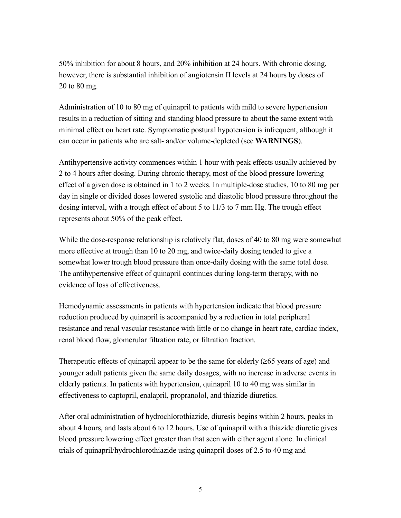50% inhibition for about 8 hours, and 20% inhibition at 24 hours. With chronic dosing, however, there is substantial inhibition of angiotensin II levels at 24 hours by doses of 20 to 80 mg.

Administration of 10 to 80 mg of quinapril to patients with mild to severe hypertension results in a reduction of sitting and standing blood pressure to about the same extent with minimal effect on heart rate. Symptomatic postural hypotension is infrequent, although it can occur in patients who are salt- and/or volume-depleted (see **WARNINGS**).

Antihypertensive activity commences within 1 hour with peak effects usually achieved by 2 to 4 hours after dosing. During chronic therapy, most of the blood pressure lowering effect of a given dose is obtained in 1 to 2 weeks. In multiple-dose studies, 10 to 80 mg per day in single or divided doses lowered systolic and diastolic blood pressure throughout the dosing interval, with a trough effect of about 5 to 11/3 to 7 mm Hg. The trough effect represents about 50% of the peak effect.

While the dose-response relationship is relatively flat, doses of 40 to 80 mg were somewhat more effective at trough than 10 to 20 mg, and twice-daily dosing tended to give a somewhat lower trough blood pressure than once-daily dosing with the same total dose. The antihypertensive effect of quinapril continues during long-term therapy, with no evidence of loss of effectiveness.

Hemodynamic assessments in patients with hypertension indicate that blood pressure reduction produced by quinapril is accompanied by a reduction in total peripheral resistance and renal vascular resistance with little or no change in heart rate, cardiac index, renal blood flow, glomerular filtration rate, or filtration fraction.

Therapeutic effects of quinapril appear to be the same for elderly  $(\geq 65$  years of age) and younger adult patients given the same daily dosages, with no increase in adverse events in elderly patients. In patients with hypertension, quinapril 10 to 40 mg was similar in effectiveness to captopril, enalapril, propranolol, and thiazide diuretics.

After oral administration of hydrochlorothiazide, diuresis begins within 2 hours, peaks in about 4 hours, and lasts about 6 to 12 hours. Use of quinapril with a thiazide diuretic gives blood pressure lowering effect greater than that seen with either agent alone. In clinical trials of quinapril/hydrochlorothiazide using quinapril doses of 2.5 to 40 mg and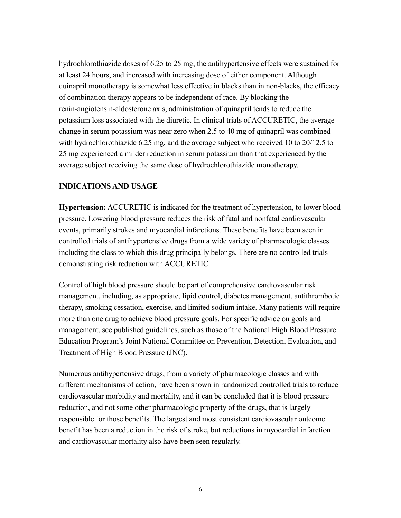hydrochlorothiazide doses of 6.25 to 25 mg, the antihypertensive effects were sustained for at least 24 hours, and increased with increasing dose of either component. Although quinapril monotherapy is somewhat less effective in blacks than in non-blacks, the efficacy of combination therapy appears to be independent of race. By blocking the renin-angiotensin-aldosterone axis, administration of quinapril tends to reduce the potassium loss associated with the diuretic. In clinical trials of ACCURETIC, the average change in serum potassium was near zero when 2.5 to 40 mg of quinapril was combined with hydrochlorothiazide 6.25 mg, and the average subject who received 10 to 20/12.5 to 25 mg experienced a milder reduction in serum potassium than that experienced by the average subject receiving the same dose of hydrochlorothiazide monotherapy.

#### **INDICATIONS AND USAGE**

**Hypertension:** ACCURETIC is indicated for the treatment of hypertension, to lower blood pressure. Lowering blood pressure reduces the risk of fatal and nonfatal cardiovascular events, primarily strokes and myocardial infarctions. These benefits have been seen in controlled trials of antihypertensive drugs from a wide variety of pharmacologic classes including the class to which this drug principally belongs. There are no controlled trials demonstrating risk reduction with ACCURETIC.

Control of high blood pressure should be part of comprehensive cardiovascular risk management, including, as appropriate, lipid control, diabetes management, antithrombotic therapy, smoking cessation, exercise, and limited sodium intake. Many patients will require more than one drug to achieve blood pressure goals. For specific advice on goals and management, see published guidelines, such as those of the National High Blood Pressure Education Program's Joint National Committee on Prevention, Detection, Evaluation, and Treatment of High Blood Pressure (JNC).

Numerous antihypertensive drugs, from a variety of pharmacologic classes and with different mechanisms of action, have been shown in randomized controlled trials to reduce cardiovascular morbidity and mortality, and it can be concluded that it is blood pressure reduction, and not some other pharmacologic property of the drugs, that is largely responsible for those benefits. The largest and most consistent cardiovascular outcome benefit has been a reduction in the risk of stroke, but reductions in myocardial infarction and cardiovascular mortality also have been seen regularly.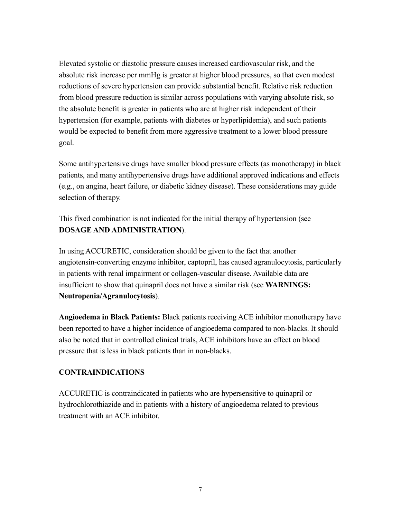Elevated systolic or diastolic pressure causes increased cardiovascular risk, and the absolute risk increase per mmHg is greater at higher blood pressures, so that even modest reductions of severe hypertension can provide substantial benefit. Relative risk reduction from blood pressure reduction is similar across populations with varying absolute risk, so the absolute benefit is greater in patients who are at higher risk independent of their hypertension (for example, patients with diabetes or hyperlipidemia), and such patients would be expected to benefit from more aggressive treatment to a lower blood pressure goal.

Some antihypertensive drugs have smaller blood pressure effects (as monotherapy) in black patients, and many antihypertensive drugs have additional approved indications and effects (e.g., on angina, heart failure, or diabetic kidney disease). These considerations may guide selection of therapy.

This fixed combination is not indicated for the initial therapy of hypertension (see **DOSAGE AND ADMINISTRATION**).

In using ACCURETIC, consideration should be given to the fact that another angiotensin-converting enzyme inhibitor, captopril, has caused agranulocytosis, particularly in patients with renal impairment or collagen-vascular disease. Available data are insufficient to show that quinapril does not have a similar risk (see **WARNINGS: Neutropenia/Agranulocytosis**).

**Angioedema in Black Patients:** Black patients receiving ACE inhibitor monotherapy have been reported to have a higher incidence of angioedema compared to non-blacks. It should also be noted that in controlled clinical trials, ACE inhibitors have an effect on blood pressure that is less in black patients than in non-blacks.

## **CONTRAINDICATIONS**

ACCURETIC is contraindicated in patients who are hypersensitive to quinapril or hydrochlorothiazide and in patients with a history of angioedema related to previous treatment with an ACE inhibitor.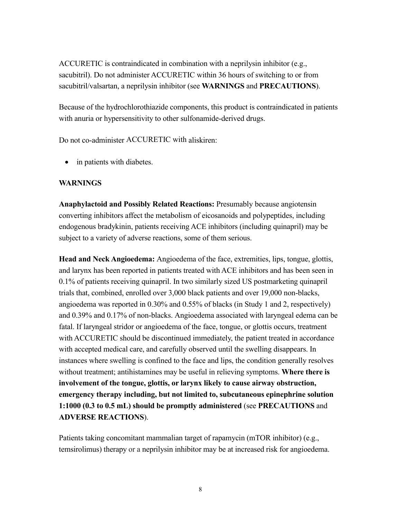ACCURETIC is contraindicated in combination with a neprilysin inhibitor (e.g., sacubitril). Do not administer ACCURETIC within 36 hours of switching to or from sacubitril/valsartan, a neprilysin inhibitor (see **WARNINGS** and **PRECAUTIONS**).

Because of the hydrochlorothiazide components, this product is contraindicated in patients with anuria or hypersensitivity to other sulfonamide-derived drugs.

Do not co-administer ACCURETIC with aliskiren:

• in patients with diabetes.

#### **WARNINGS**

**Anaphylactoid and Possibly Related Reactions:** Presumably because angiotensin converting inhibitors affect the metabolism of eicosanoids and polypeptides, including endogenous bradykinin, patients receiving ACE inhibitors (including quinapril) may be subject to a variety of adverse reactions, some of them serious.

**Head and Neck Angioedema:** Angioedema of the face, extremities, lips, tongue, glottis, and larynx has been reported in patients treated with ACE inhibitors and has been seen in 0.1% of patients receiving quinapril. In two similarly sized US postmarketing quinapril trials that, combined, enrolled over 3,000 black patients and over 19,000 non-blacks, angioedema was reported in 0.30% and 0.55% of blacks (in Study 1 and 2, respectively) and 0.39% and 0.17% of non-blacks. Angioedema associated with laryngeal edema can be fatal. If laryngeal stridor or angioedema of the face, tongue, or glottis occurs, treatment with ACCURETIC should be discontinued immediately, the patient treated in accordance with accepted medical care, and carefully observed until the swelling disappears. In instances where swelling is confined to the face and lips, the condition generally resolves without treatment; antihistamines may be useful in relieving symptoms. **Where there is involvement of the tongue, glottis, or larynx likely to cause airway obstruction, emergency therapy including, but not limited to, subcutaneous epinephrine solution 1:1000 (0.3 to 0.5 mL) should be promptly administered** (see **PRECAUTIONS** and **ADVERSE REACTIONS**).

Patients taking concomitant mammalian target of rapamycin (mTOR inhibitor) (e.g., temsirolimus) therapy or a neprilysin inhibitor may be at increased risk for angioedema.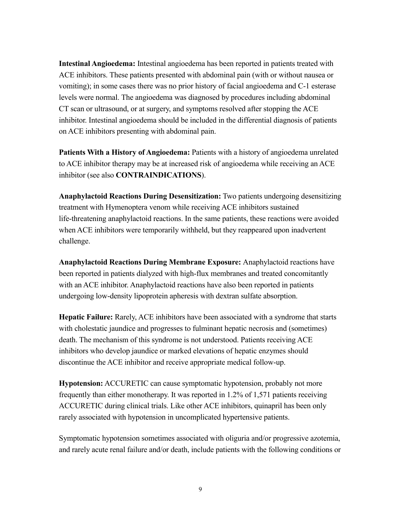**Intestinal Angioedema:** Intestinal angioedema has been reported in patients treated with ACE inhibitors. These patients presented with abdominal pain (with or without nausea or vomiting); in some cases there was no prior history of facial angioedema and C-1 esterase levels were normal. The angioedema was diagnosed by procedures including abdominal CT scan or ultrasound, or at surgery, and symptoms resolved after stopping the ACE inhibitor. Intestinal angioedema should be included in the differential diagnosis of patients on ACE inhibitors presenting with abdominal pain.

**Patients With a History of Angioedema:** Patients with a history of angioedema unrelated to ACE inhibitor therapy may be at increased risk of angioedema while receiving an ACE inhibitor (see also **CONTRAINDICATIONS**).

**Anaphylactoid Reactions During Desensitization:** Two patients undergoing desensitizing treatment with Hymenoptera venom while receiving ACE inhibitors sustained life-threatening anaphylactoid reactions. In the same patients, these reactions were avoided when ACE inhibitors were temporarily withheld, but they reappeared upon inadvertent challenge.

**Anaphylactoid Reactions During Membrane Exposure:** Anaphylactoid reactions have been reported in patients dialyzed with high-flux membranes and treated concomitantly with an ACE inhibitor. Anaphylactoid reactions have also been reported in patients undergoing low-density lipoprotein apheresis with dextran sulfate absorption.

**Hepatic Failure:** Rarely, ACE inhibitors have been associated with a syndrome that starts with cholestatic jaundice and progresses to fulminant hepatic necrosis and (sometimes) death. The mechanism of this syndrome is not understood. Patients receiving ACE inhibitors who develop jaundice or marked elevations of hepatic enzymes should discontinue the ACE inhibitor and receive appropriate medical follow-up.

**Hypotension:** ACCURETIC can cause symptomatic hypotension, probably not more frequently than either monotherapy. It was reported in 1.2% of 1,571 patients receiving ACCURETIC during clinical trials. Like other ACE inhibitors, quinapril has been only rarely associated with hypotension in uncomplicated hypertensive patients.

Symptomatic hypotension sometimes associated with oliguria and/or progressive azotemia, and rarely acute renal failure and/or death, include patients with the following conditions or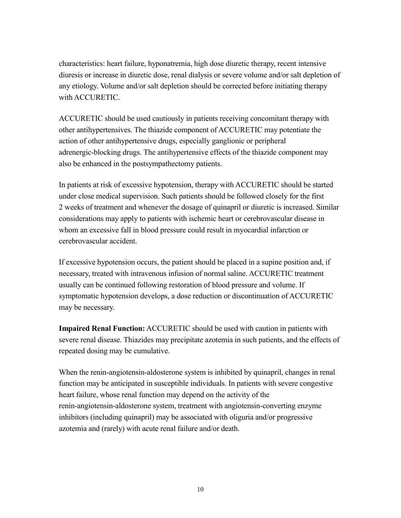characteristics: heart failure, hyponatremia, high dose diuretic therapy, recent intensive diuresis or increase in diuretic dose, renal dialysis or severe volume and/or salt depletion of any etiology. Volume and/or salt depletion should be corrected before initiating therapy with ACCURETIC.

ACCURETIC should be used cautiously in patients receiving concomitant therapy with other antihypertensives. The thiazide component of ACCURETIC may potentiate the action of other antihypertensive drugs, especially ganglionic or peripheral adrenergic-blocking drugs. The antihypertensive effects of the thiazide component may also be enhanced in the postsympathectomy patients.

In patients at risk of excessive hypotension, therapy with ACCURETIC should be started under close medical supervision. Such patients should be followed closely for the first 2 weeks of treatment and whenever the dosage of quinapril or diuretic is increased. Similar considerations may apply to patients with ischemic heart or cerebrovascular disease in whom an excessive fall in blood pressure could result in myocardial infarction or cerebrovascular accident.

If excessive hypotension occurs, the patient should be placed in a supine position and, if necessary, treated with intravenous infusion of normal saline. ACCURETIC treatment usually can be continued following restoration of blood pressure and volume. If symptomatic hypotension develops, a dose reduction or discontinuation of ACCURETIC may be necessary.

**Impaired Renal Function:** ACCURETIC should be used with caution in patients with severe renal disease. Thiazides may precipitate azotemia in such patients, and the effects of repeated dosing may be cumulative.

When the renin-angiotensin-aldosterone system is inhibited by quinapril, changes in renal function may be anticipated in susceptible individuals. In patients with severe congestive heart failure, whose renal function may depend on the activity of the renin-angiotensin-aldosterone system, treatment with angiotensin-converting enzyme inhibitors (including quinapril) may be associated with oliguria and/or progressive azotemia and (rarely) with acute renal failure and/or death.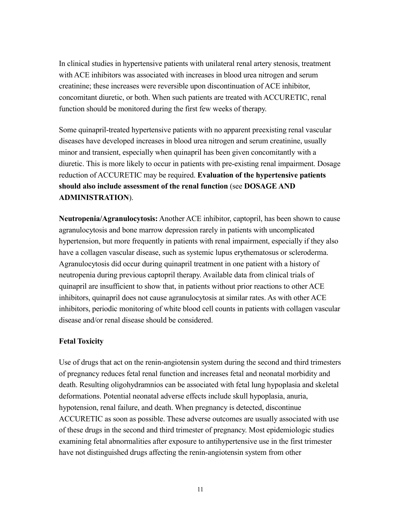In clinical studies in hypertensive patients with unilateral renal artery stenosis, treatment with ACE inhibitors was associated with increases in blood urea nitrogen and serum creatinine; these increases were reversible upon discontinuation of ACE inhibitor, concomitant diuretic, or both. When such patients are treated with ACCURETIC, renal function should be monitored during the first few weeks of therapy.

Some quinapril-treated hypertensive patients with no apparent preexisting renal vascular diseases have developed increases in blood urea nitrogen and serum creatinine, usually minor and transient, especially when quinapril has been given concomitantly with a diuretic. This is more likely to occur in patients with pre-existing renal impairment. Dosage reduction of ACCURETIC may be required. **Evaluation of the hypertensive patients should also include assessment of the renal function** (see **DOSAGE AND ADMINISTRATION**).

**Neutropenia/Agranulocytosis:** Another ACE inhibitor, captopril, has been shown to cause agranulocytosis and bone marrow depression rarely in patients with uncomplicated hypertension, but more frequently in patients with renal impairment, especially if they also have a collagen vascular disease, such as systemic lupus erythematosus or scleroderma. Agranulocytosis did occur during quinapril treatment in one patient with a history of neutropenia during previous captopril therapy. Available data from clinical trials of quinapril are insufficient to show that, in patients without prior reactions to other ACE inhibitors, quinapril does not cause agranulocytosis at similar rates. As with other ACE inhibitors, periodic monitoring of white blood cell counts in patients with collagen vascular disease and/or renal disease should be considered.

#### **Fetal Toxicity**

Use of drugs that act on the renin-angiotensin system during the second and third trimesters of pregnancy reduces fetal renal function and increases fetal and neonatal morbidity and death. Resulting oligohydramnios can be associated with fetal lung hypoplasia and skeletal deformations. Potential neonatal adverse effects include skull hypoplasia, anuria, hypotension, renal failure, and death. When pregnancy is detected, discontinue ACCURETIC as soon as possible. These adverse outcomes are usually associated with use of these drugs in the second and third trimester of pregnancy. Most epidemiologic studies examining fetal abnormalities after exposure to antihypertensive use in the first trimester have not distinguished drugs affecting the renin-angiotensin system from other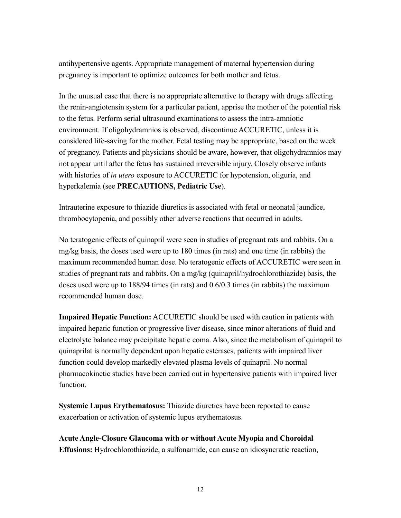antihypertensive agents. Appropriate management of maternal hypertension during pregnancy is important to optimize outcomes for both mother and fetus.

In the unusual case that there is no appropriate alternative to therapy with drugs affecting the renin-angiotensin system for a particular patient, apprise the mother of the potential risk to the fetus. Perform serial ultrasound examinations to assess the intra-amniotic environment. If oligohydramnios is observed, discontinue ACCURETIC, unless it is considered life-saving for the mother. Fetal testing may be appropriate, based on the week of pregnancy. Patients and physicians should be aware, however, that oligohydramnios may not appear until after the fetus has sustained irreversible injury. Closely observe infants with histories of *in utero* exposure to ACCURETIC for hypotension, oliguria, and hyperkalemia (see **PRECAUTIONS, Pediatric Use**).

Intrauterine exposure to thiazide diuretics is associated with fetal or neonatal jaundice, thrombocytopenia, and possibly other adverse reactions that occurred in adults.

No teratogenic effects of quinapril were seen in studies of pregnant rats and rabbits. On a mg/kg basis, the doses used were up to 180 times (in rats) and one time (in rabbits) the maximum recommended human dose. No teratogenic effects of ACCURETIC were seen in studies of pregnant rats and rabbits. On a mg/kg (quinapril/hydrochlorothiazide) basis, the doses used were up to 188/94 times (in rats) and 0.6/0.3 times (in rabbits) the maximum recommended human dose.

**Impaired Hepatic Function:** ACCURETIC should be used with caution in patients with impaired hepatic function or progressive liver disease, since minor alterations of fluid and electrolyte balance may precipitate hepatic coma. Also, since the metabolism of quinapril to quinaprilat is normally dependent upon hepatic esterases, patients with impaired liver function could develop markedly elevated plasma levels of quinapril. No normal pharmacokinetic studies have been carried out in hypertensive patients with impaired liver function.

**Systemic Lupus Erythematosus:** Thiazide diuretics have been reported to cause exacerbation or activation of systemic lupus erythematosus.

**Acute Angle-Closure Glaucoma with or without Acute Myopia and Choroidal Effusions:** Hydrochlorothiazide, a sulfonamide, can cause an idiosyncratic reaction,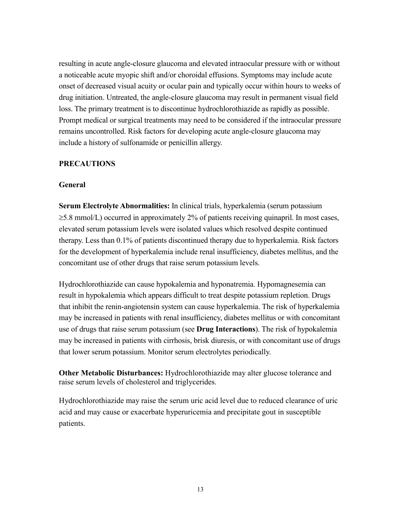resulting in acute angle-closure glaucoma and elevated intraocular pressure with or without a noticeable acute myopic shift and/or choroidal effusions. Symptoms may include acute onset of decreased visual acuity or ocular pain and typically occur within hours to weeks of drug initiation. Untreated, the angle-closure glaucoma may result in permanent visual field loss. The primary treatment is to discontinue hydrochlorothiazide as rapidly as possible. Prompt medical or surgical treatments may need to be considered if the intraocular pressure remains uncontrolled. Risk factors for developing acute angle-closure glaucoma may include a history of sulfonamide or penicillin allergy.

#### **PRECAUTIONS**

#### **General**

**Serum Electrolyte Abnormalities:** In clinical trials, hyperkalemia (serum potassium  $\geq$ 5.8 mmol/L) occurred in approximately 2% of patients receiving quinapril. In most cases, elevated serum potassium levels were isolated values which resolved despite continued therapy. Less than 0.1% of patients discontinued therapy due to hyperkalemia. Risk factors for the development of hyperkalemia include renal insufficiency, diabetes mellitus, and the concomitant use of other drugs that raise serum potassium levels.

Hydrochlorothiazide can cause hypokalemia and hyponatremia. Hypomagnesemia can result in hypokalemia which appears difficult to treat despite potassium repletion. Drugs that inhibit the renin-angiotensin system can cause hyperkalemia. The risk of hyperkalemia may be increased in patients with renal insufficiency, diabetes mellitus or with concomitant use of drugs that raise serum potassium (see **Drug Interactions**). The risk of hypokalemia may be increased in patients with cirrhosis, brisk diuresis, or with concomitant use of drugs that lower serum potassium. Monitor serum electrolytes periodically.

**Other Metabolic Disturbances:** Hydrochlorothiazide may alter glucose tolerance and raise serum levels of cholesterol and triglycerides.

Hydrochlorothiazide may raise the serum uric acid level due to reduced clearance of uric acid and may cause or exacerbate hyperuricemia and precipitate gout in susceptible patients.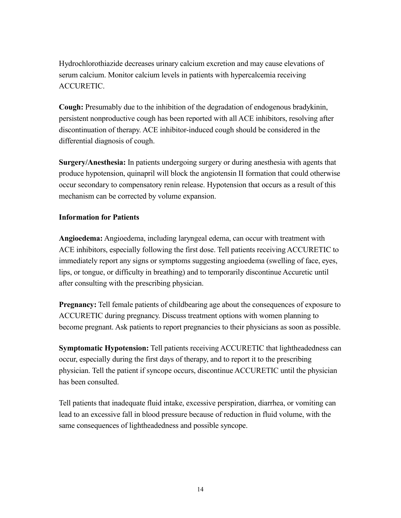Hydrochlorothiazide decreases urinary calcium excretion and may cause elevations of serum calcium. Monitor calcium levels in patients with hypercalcemia receiving ACCURETIC.

**Cough:** Presumably due to the inhibition of the degradation of endogenous bradykinin, persistent nonproductive cough has been reported with all ACE inhibitors, resolving after discontinuation of therapy. ACE inhibitor-induced cough should be considered in the differential diagnosis of cough.

**Surgery/Anesthesia:** In patients undergoing surgery or during anesthesia with agents that produce hypotension, quinapril will block the angiotensin II formation that could otherwise occur secondary to compensatory renin release. Hypotension that occurs as a result of this mechanism can be corrected by volume expansion.

## **Information for Patients**

**Angioedema:** Angioedema, including laryngeal edema, can occur with treatment with ACE inhibitors, especially following the first dose. Tell patients receiving ACCURETIC to immediately report any signs or symptoms suggesting angioedema (swelling of face, eyes, lips, or tongue, or difficulty in breathing) and to temporarily discontinue Accuretic until after consulting with the prescribing physician.

**Pregnancy:** Tell female patients of childbearing age about the consequences of exposure to ACCURETIC during pregnancy. Discuss treatment options with women planning to become pregnant. Ask patients to report pregnancies to their physicians as soon as possible.

**Symptomatic Hypotension:** Tell patients receiving ACCURETIC that lightheadedness can occur, especially during the first days of therapy, and to report it to the prescribing physician. Tell the patient if syncope occurs, discontinue ACCURETIC until the physician has been consulted.

Tell patients that inadequate fluid intake, excessive perspiration, diarrhea, or vomiting can lead to an excessive fall in blood pressure because of reduction in fluid volume, with the same consequences of lightheadedness and possible syncope.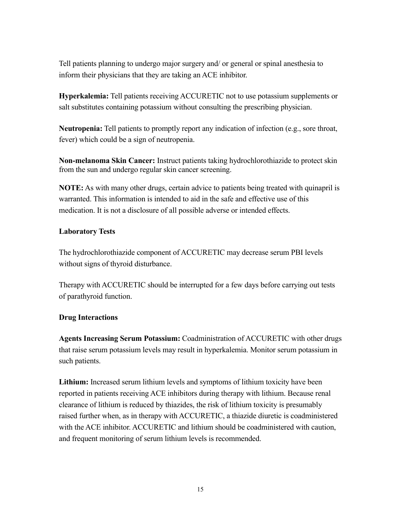Tell patients planning to undergo major surgery and/ or general or spinal anesthesia to inform their physicians that they are taking an ACE inhibitor.

**Hyperkalemia:** Tell patients receiving ACCURETIC not to use potassium supplements or salt substitutes containing potassium without consulting the prescribing physician.

**Neutropenia:** Tell patients to promptly report any indication of infection (e.g., sore throat, fever) which could be a sign of neutropenia.

**Non-melanoma Skin Cancer:** Instruct patients taking hydrochlorothiazide to protect skin from the sun and undergo regular skin cancer screening.

**NOTE:** As with many other drugs, certain advice to patients being treated with quinapril is warranted. This information is intended to aid in the safe and effective use of this medication. It is not a disclosure of all possible adverse or intended effects.

#### **Laboratory Tests**

The hydrochlorothiazide component of ACCURETIC may decrease serum PBI levels without signs of thyroid disturbance.

Therapy with ACCURETIC should be interrupted for a few days before carrying out tests of parathyroid function.

#### **Drug Interactions**

**Agents Increasing Serum Potassium:** Coadministration of ACCURETIC with other drugs that raise serum potassium levels may result in hyperkalemia. Monitor serum potassium in such patients.

**Lithium:** Increased serum lithium levels and symptoms of lithium toxicity have been reported in patients receiving ACE inhibitors during therapy with lithium. Because renal clearance of lithium is reduced by thiazides, the risk of lithium toxicity is presumably raised further when, as in therapy with ACCURETIC, a thiazide diuretic is coadministered with the ACE inhibitor. ACCURETIC and lithium should be coadministered with caution, and frequent monitoring of serum lithium levels is recommended.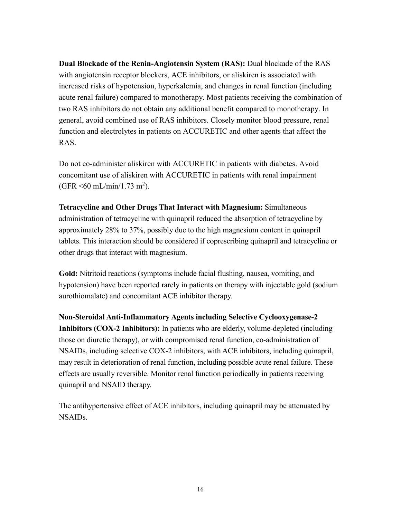**Dual Blockade of the Renin-Angiotensin System (RAS):** Dual blockade of the RAS with angiotensin receptor blockers, ACE inhibitors, or aliskiren is associated with increased risks of hypotension, hyperkalemia, and changes in renal function (including acute renal failure) compared to monotherapy. Most patients receiving the combination of two RAS inhibitors do not obtain any additional benefit compared to monotherapy. In general, avoid combined use of RAS inhibitors. Closely monitor blood pressure, renal function and electrolytes in patients on ACCURETIC and other agents that affect the RAS.

Do not co-administer aliskiren with ACCURETIC in patients with diabetes. Avoid concomitant use of aliskiren with ACCURETIC in patients with renal impairment  $(GFR \le 60 \text{ mL/min}/1.73 \text{ m}^2)$ .

**Tetracycline and Other Drugs That Interact with Magnesium:** Simultaneous administration of tetracycline with quinapril reduced the absorption of tetracycline by approximately 28% to 37%, possibly due to the high magnesium content in quinapril tablets. This interaction should be considered if coprescribing quinapril and tetracycline or other drugs that interact with magnesium.

**Gold:** Nitritoid reactions (symptoms include facial flushing, nausea, vomiting, and hypotension) have been reported rarely in patients on therapy with injectable gold (sodium aurothiomalate) and concomitant ACE inhibitor therapy.

**Non-Steroidal Anti-Inflammatory Agents including Selective Cyclooxygenase-2 Inhibitors (COX-2 Inhibitors):** In patients who are elderly, volume-depleted (including those on diuretic therapy), or with compromised renal function, co-administration of NSAIDs, including selective COX-2 inhibitors, with ACE inhibitors, including quinapril, may result in deterioration of renal function, including possible acute renal failure. These effects are usually reversible. Monitor renal function periodically in patients receiving quinapril and NSAID therapy.

The antihypertensive effect of ACE inhibitors, including quinapril may be attenuated by NSAIDs.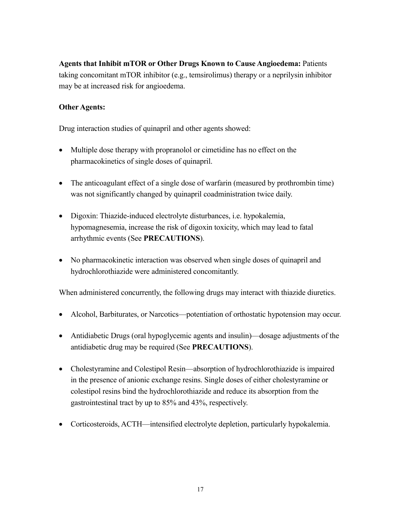**Agents that Inhibit mTOR or Other Drugs Known to Cause Angioedema:** Patients taking concomitant mTOR inhibitor (e.g., temsirolimus) therapy or a neprilysin inhibitor may be at increased risk for angioedema.

# **Other Agents:**

Drug interaction studies of quinapril and other agents showed:

- Multiple dose therapy with propranolol or cimetidine has no effect on the pharmacokinetics of single doses of quinapril.
- The anticoagulant effect of a single dose of warfarin (measured by prothrombin time) was not significantly changed by quinapril coadministration twice daily.
- Digoxin: Thiazide-induced electrolyte disturbances, i.e. hypokalemia, hypomagnesemia, increase the risk of digoxin toxicity, which may lead to fatal arrhythmic events (See **PRECAUTIONS**).
- No pharmacokinetic interaction was observed when single doses of quinapril and hydrochlorothiazide were administered concomitantly.

When administered concurrently, the following drugs may interact with thiazide diuretics.

- Alcohol, Barbiturates, or Narcotics—potentiation of orthostatic hypotension may occur.
- Antidiabetic Drugs (oral hypoglycemic agents and insulin)—dosage adjustments of the antidiabetic drug may be required (See **PRECAUTIONS**).
- Cholestyramine and Colestipol Resin—absorption of hydrochlorothiazide is impaired in the presence of anionic exchange resins. Single doses of either cholestyramine or colestipol resins bind the hydrochlorothiazide and reduce its absorption from the gastrointestinal tract by up to 85% and 43%, respectively.
- Corticosteroids, ACTH—intensified electrolyte depletion, particularly hypokalemia.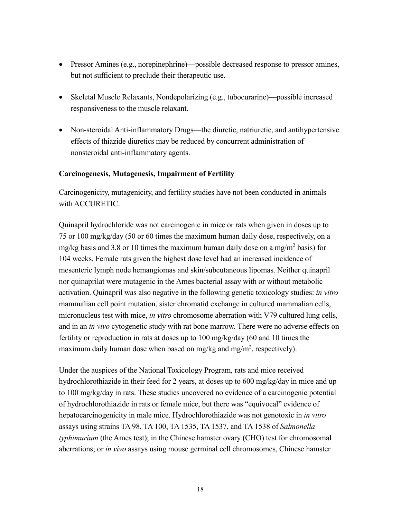- Pressor Amines (e.g., norepinephrine)—possible decreased response to pressor amines, but not sufficient to preclude their therapeutic use.
- Skeletal Muscle Relaxants, Nondepolarizing (e.g., tubocurarine)—possible increased responsiveness to the muscle relaxant.
- Non-steroidal Anti-inflammatory Drugs—the diuretic, natriuretic, and antihypertensive effects of thiazide diuretics may be reduced by concurrent administration of nonsteroidal anti-inflammatory agents.

#### **Carcinogenesis, Mutagenesis, Impairment of Fertility**

Carcinogenicity, mutagenicity, and fertility studies have not been conducted in animals with ACCURETIC.

Quinapril hydrochloride was not carcinogenic in mice or rats when given in doses up to 75 or 100 mg/kg/day (50 or 60 times the maximum human daily dose, respectively, on a mg/kg basis and 3.8 or 10 times the maximum human daily dose on a mg/m<sup>2</sup> basis) for 104 weeks. Female rats given the highest dose level had an increased incidence of mesenteric lymph node hemangiomas and skin/subcutaneous lipomas. Neither quinapril nor quinaprilat were mutagenic in the Ames bacterial assay with or without metabolic activation. Quinapril was also negative in the following genetic toxicology studies: *in vitro* mammalian cell point mutation, sister chromatid exchange in cultured mammalian cells, micronucleus test with mice, *in vitro* chromosome aberration with V79 cultured lung cells, and in an *in vivo* cytogenetic study with rat bone marrow. There were no adverse effects on fertility or reproduction in rats at doses up to 100 mg/kg/day (60 and 10 times the maximum daily human dose when based on mg/kg and mg/m<sup>2</sup>, respectively).

Under the auspices of the National Toxicology Program, rats and mice received hydrochlorothiazide in their feed for 2 years, at doses up to 600 mg/kg/day in mice and up to 100 mg/kg/day in rats. These studies uncovered no evidence of a carcinogenic potential of hydrochlorothiazide in rats or female mice, but there was "equivocal" evidence of hepatocarcinogenicity in male mice. Hydrochlorothiazide was not genotoxic in *in vitro* assays using strains TA 98, TA 100, TA 1535, TA 1537, and TA 1538 of *Salmonella typhimurium* (the Ames test); in the Chinese hamster ovary (CHO) test for chromosomal aberrations; or *in vivo* assays using mouse germinal cell chromosomes, Chinese hamster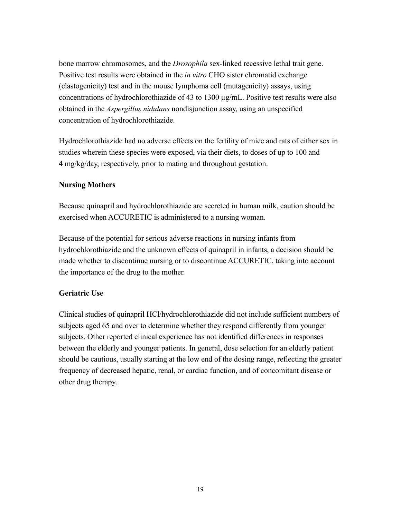bone marrow chromosomes, and the *Drosophila* sex-linked recessive lethal trait gene. Positive test results were obtained in the *in vitro* CHO sister chromatid exchange (clastogenicity) test and in the mouse lymphoma cell (mutagenicity) assays, using concentrations of hydrochlorothiazide of 43 to 1300 µg/mL. Positive test results were also obtained in the *Aspergillus nidulans* nondisjunction assay, using an unspecified concentration of hydrochlorothiazide.

Hydrochlorothiazide had no adverse effects on the fertility of mice and rats of either sex in studies wherein these species were exposed, via their diets, to doses of up to 100 and 4 mg/kg/day, respectively, prior to mating and throughout gestation.

## **Nursing Mothers**

Because quinapril and hydrochlorothiazide are secreted in human milk, caution should be exercised when ACCURETIC is administered to a nursing woman.

Because of the potential for serious adverse reactions in nursing infants from hydrochlorothiazide and the unknown effects of quinapril in infants, a decision should be made whether to discontinue nursing or to discontinue ACCURETIC, taking into account the importance of the drug to the mother.

## **Geriatric Use**

Clinical studies of quinapril HCl/hydrochlorothiazide did not include sufficient numbers of subjects aged 65 and over to determine whether they respond differently from younger subjects. Other reported clinical experience has not identified differences in responses between the elderly and younger patients. In general, dose selection for an elderly patient should be cautious, usually starting at the low end of the dosing range, reflecting the greater frequency of decreased hepatic, renal, or cardiac function, and of concomitant disease or other drug therapy.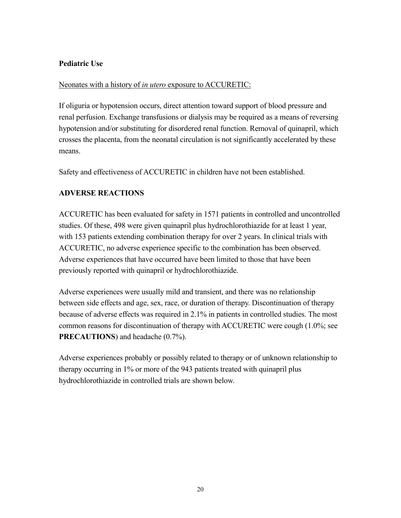# **Pediatric Use**

## Neonates with a history of *in utero* exposure to ACCURETIC:

If oliguria or hypotension occurs, direct attention toward support of blood pressure and renal perfusion. Exchange transfusions or dialysis may be required as a means of reversing hypotension and/or substituting for disordered renal function. Removal of quinapril, which crosses the placenta, from the neonatal circulation is not significantly accelerated by these means.

Safety and effectiveness of ACCURETIC in children have not been established.

# **ADVERSE REACTIONS**

ACCURETIC has been evaluated for safety in 1571 patients in controlled and uncontrolled studies. Of these, 498 were given quinapril plus hydrochlorothiazide for at least 1 year, with 153 patients extending combination therapy for over 2 years. In clinical trials with ACCURETIC, no adverse experience specific to the combination has been observed. Adverse experiences that have occurred have been limited to those that have been previously reported with quinapril or hydrochlorothiazide.

Adverse experiences were usually mild and transient, and there was no relationship between side effects and age, sex, race, or duration of therapy. Discontinuation of therapy because of adverse effects was required in 2.1% in patients in controlled studies. The most common reasons for discontinuation of therapy with ACCURETIC were cough (1.0%; see **PRECAUTIONS**) and headache (0.7%).

Adverse experiences probably or possibly related to therapy or of unknown relationship to therapy occurring in 1% or more of the 943 patients treated with quinapril plus hydrochlorothiazide in controlled trials are shown below.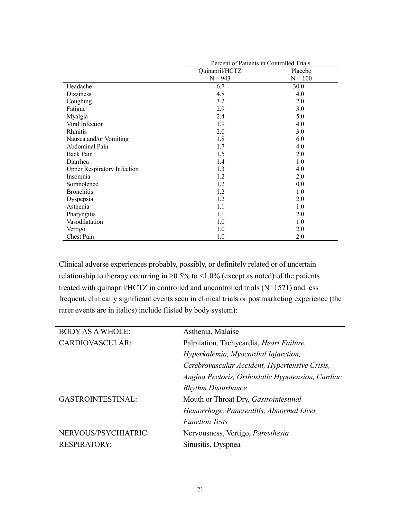|                                    | Percent of Patients in Controlled Trials |           |
|------------------------------------|------------------------------------------|-----------|
|                                    | Quinapril/HCTZ                           | Placebo   |
|                                    | $N = 943$                                | $N = 100$ |
| Headache                           | 6.7                                      | 30.0      |
| <b>Dizziness</b>                   | 4.8                                      | 4.0       |
| Coughing                           | 3.2                                      | 2.0       |
| Fatigue                            | 2.9                                      | 3.0       |
| Myalgia                            | 2.4                                      | 5.0       |
| Viral Infection                    | 1.9                                      | 4.0       |
| Rhinitis                           | 2.0                                      | 3.0       |
| Nausea and/or Vomiting             | 1.8                                      | 6.0       |
| Abdominal Pain                     | 1.7                                      | 4.0       |
| <b>Back Pain</b>                   | 1.5                                      | 2.0       |
| Diarrhea                           | 1.4                                      | 1.0       |
| <b>Upper Respiratory Infection</b> | 1.3                                      | 4.0       |
| Insomnia                           | 1.2                                      | 2.0       |
| Somnolence                         | 1.2                                      | 0.0       |
| <b>Bronchitis</b>                  | 1.2                                      | 1.0       |
| Dyspepsia                          | 1.2                                      | 2.0       |
| Asthenia                           | 1.1                                      | 1.0       |
| Pharyngitis                        | 1.1                                      | 2.0       |
| Vasodilatation                     | 1.0                                      | 1.0       |
| Vertigo                            | 1.0                                      | 2.0       |
| Chest Pain                         | 1.0                                      | 2.0       |

Clinical adverse experiences probably, possibly, or definitely related or of uncertain relationship to therapy occurring in  $\geq 0.5\%$  to <1.0% (except as noted) of the patients treated with quinapril/HCTZ in controlled and uncontrolled trials (N=1571) and less frequent, clinically significant events seen in clinical trials or postmarketing experience (the rarer events are in italics) include (listed by body system):

| <b>BODY AS A WHOLE:</b>  | Asthenia, Malaise                                 |  |
|--------------------------|---------------------------------------------------|--|
| <b>CARDIOVASCULAR:</b>   | Palpitation, Tachycardia, Heart Failure,          |  |
|                          | Hyperkalemia, Myocardial Infarction,              |  |
|                          | Cerebrovascular Accident, Hypertensive Crisis,    |  |
|                          | Angina Pectoris, Orthostatic Hypotension, Cardiac |  |
|                          | <b>Rhythm Disturbance</b>                         |  |
| <b>GASTROINTESTINAL:</b> | Mouth or Throat Dry, Gastrointestinal             |  |
|                          | Hemorrhage, Pancreatitis, Abnormal Liver          |  |
|                          | <b>Function Tests</b>                             |  |
| NERVOUS/PSYCHIATRIC:     | Nervousness, Vertigo, <i>Paresthesia</i>          |  |
| <b>RESPIRATORY:</b>      | Sinusitis, Dyspnea                                |  |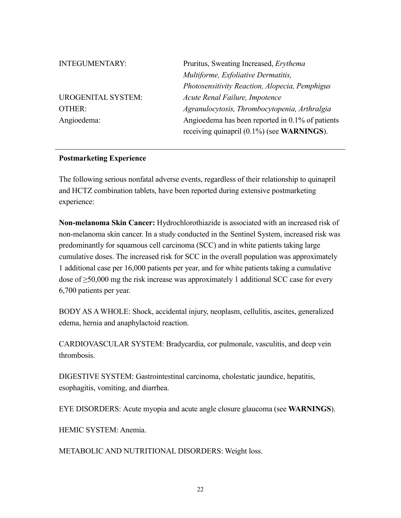| Pruritus, Sweating Increased, Erythema           |  |
|--------------------------------------------------|--|
| Multiforme, Exfoliative Dermatitis,              |  |
| Photosensitivity Reaction, Alopecia, Pemphigus   |  |
| Acute Renal Failure, Impotence                   |  |
| Agranulocytosis, Thrombocytopenia, Arthralgia    |  |
| Angioedema has been reported in 0.1% of patients |  |
| receiving quinapril $(0.1\%)$ (see WARNINGS).    |  |
|                                                  |  |

#### **Postmarketing Experience**

The following serious nonfatal adverse events, regardless of their relationship to quinapril and HCTZ combination tablets, have been reported during extensive postmarketing experience:

**Non-melanoma Skin Cancer:** Hydrochlorothiazide is associated with an increased risk of non-melanoma skin cancer. In a study conducted in the Sentinel System, increased risk was predominantly for squamous cell carcinoma (SCC) and in white patients taking large cumulative doses. The increased risk for SCC in the overall population was approximately 1 additional case per 16,000 patients per year, and for white patients taking a cumulative dose of  $\geq$ 50,000 mg the risk increase was approximately 1 additional SCC case for every 6,700 patients per year.

BODY AS A WHOLE: Shock, accidental injury, neoplasm, cellulitis, ascites, generalized edema, hernia and anaphylactoid reaction.

CARDIOVASCULAR SYSTEM: Bradycardia, cor pulmonale, vasculitis, and deep vein thrombosis.

DIGESTIVE SYSTEM: Gastrointestinal carcinoma, cholestatic jaundice, hepatitis, esophagitis, vomiting, and diarrhea.

EYE DISORDERS: Acute myopia and acute angle closure glaucoma (see **WARNINGS**).

HEMIC SYSTEM: Anemia.

METABOLIC AND NUTRITIONAL DISORDERS: Weight loss.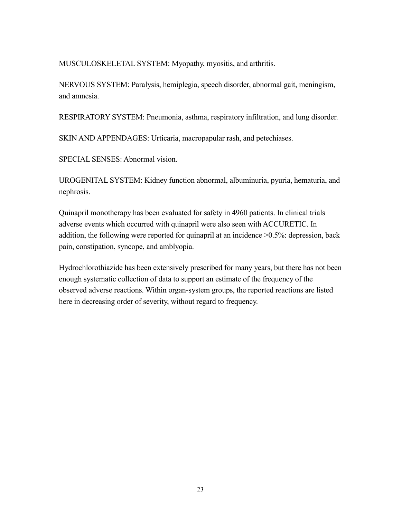MUSCULOSKELETAL SYSTEM: Myopathy, myositis, and arthritis.

NERVOUS SYSTEM: Paralysis, hemiplegia, speech disorder, abnormal gait, meningism, and amnesia.

RESPIRATORY SYSTEM: Pneumonia, asthma, respiratory infiltration, and lung disorder.

SKIN AND APPENDAGES: Urticaria, macropapular rash, and petechiases.

SPECIAL SENSES: Abnormal vision.

UROGENITAL SYSTEM: Kidney function abnormal, albuminuria, pyuria, hematuria, and nephrosis.

Quinapril monotherapy has been evaluated for safety in 4960 patients. In clinical trials adverse events which occurred with quinapril were also seen with ACCURETIC. In addition, the following were reported for quinapril at an incidence >0.5%: depression, back pain, constipation, syncope, and amblyopia.

Hydrochlorothiazide has been extensively prescribed for many years, but there has not been enough systematic collection of data to support an estimate of the frequency of the observed adverse reactions. Within organ-system groups, the reported reactions are listed here in decreasing order of severity, without regard to frequency.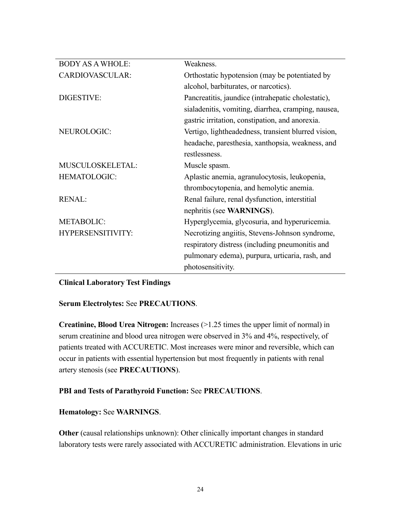| <b>BODY AS A WHOLE:</b> | Weakness.                                           |
|-------------------------|-----------------------------------------------------|
| CARDIOVASCULAR:         | Orthostatic hypotension (may be potentiated by      |
|                         | alcohol, barbiturates, or narcotics).               |
| <b>DIGESTIVE:</b>       | Pancreatitis, jaundice (intrahepatic cholestatic),  |
|                         | sialadenitis, vomiting, diarrhea, cramping, nausea, |
|                         | gastric irritation, constipation, and anorexia.     |
| NEUROLOGIC:             | Vertigo, lightheadedness, transient blurred vision, |
|                         | headache, paresthesia, xanthopsia, weakness, and    |
|                         | restlessness.                                       |
| MUSCULOSKELETAL:        | Muscle spasm.                                       |
| <b>HEMATOLOGIC:</b>     | Aplastic anemia, agranulocytosis, leukopenia,       |
|                         | thrombocytopenia, and hemolytic anemia.             |
| <b>RENAL:</b>           | Renal failure, renal dysfunction, interstitial      |
|                         | nephritis (see WARNINGS).                           |
| <b>METABOLIC:</b>       | Hyperglycemia, glycosuria, and hyperuricemia.       |
| HYPERSENSITIVITY:       | Necrotizing angiitis, Stevens-Johnson syndrome,     |
|                         | respiratory distress (including pneumonitis and     |
|                         | pulmonary edema), purpura, urticaria, rash, and     |
|                         | photosensitivity.                                   |

## **Clinical Laboratory Test Findings**

## **Serum Electrolytes:** See **PRECAUTIONS**.

**Creatinine, Blood Urea Nitrogen:** Increases (>1.25 times the upper limit of normal) in serum creatinine and blood urea nitrogen were observed in 3% and 4%, respectively, of patients treated with ACCURETIC. Most increases were minor and reversible, which can occur in patients with essential hypertension but most frequently in patients with renal artery stenosis (see **PRECAUTIONS**).

# **PBI and Tests of Parathyroid Function:** See **PRECAUTIONS**.

## **Hematology:** See **WARNINGS**.

**Other** (causal relationships unknown): Other clinically important changes in standard laboratory tests were rarely associated with ACCURETIC administration. Elevations in uric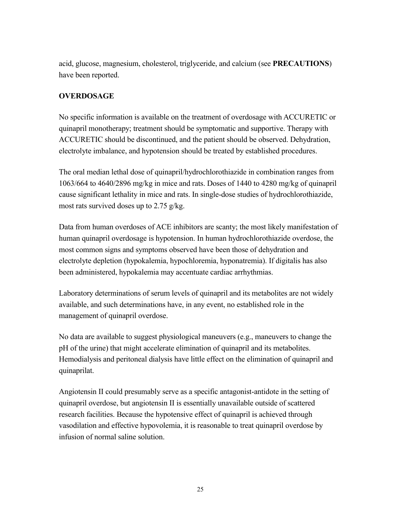acid, glucose, magnesium, cholesterol, triglyceride, and calcium (see **PRECAUTIONS**) have been reported.

# **OVERDOSAGE**

No specific information is available on the treatment of overdosage with ACCURETIC or quinapril monotherapy; treatment should be symptomatic and supportive. Therapy with ACCURETIC should be discontinued, and the patient should be observed. Dehydration, electrolyte imbalance, and hypotension should be treated by established procedures.

The oral median lethal dose of quinapril/hydrochlorothiazide in combination ranges from 1063/664 to 4640/2896 mg/kg in mice and rats. Doses of 1440 to 4280 mg/kg of quinapril cause significant lethality in mice and rats. In single-dose studies of hydrochlorothiazide, most rats survived doses up to 2.75 g/kg.

Data from human overdoses of ACE inhibitors are scanty; the most likely manifestation of human quinapril overdosage is hypotension. In human hydrochlorothiazide overdose, the most common signs and symptoms observed have been those of dehydration and electrolyte depletion (hypokalemia, hypochloremia, hyponatremia). If digitalis has also been administered, hypokalemia may accentuate cardiac arrhythmias.

Laboratory determinations of serum levels of quinapril and its metabolites are not widely available, and such determinations have, in any event, no established role in the management of quinapril overdose.

No data are available to suggest physiological maneuvers (e.g., maneuvers to change the pH of the urine) that might accelerate elimination of quinapril and its metabolites. Hemodialysis and peritoneal dialysis have little effect on the elimination of quinapril and quinaprilat.

Angiotensin II could presumably serve as a specific antagonist-antidote in the setting of quinapril overdose, but angiotensin II is essentially unavailable outside of scattered research facilities. Because the hypotensive effect of quinapril is achieved through vasodilation and effective hypovolemia, it is reasonable to treat quinapril overdose by infusion of normal saline solution.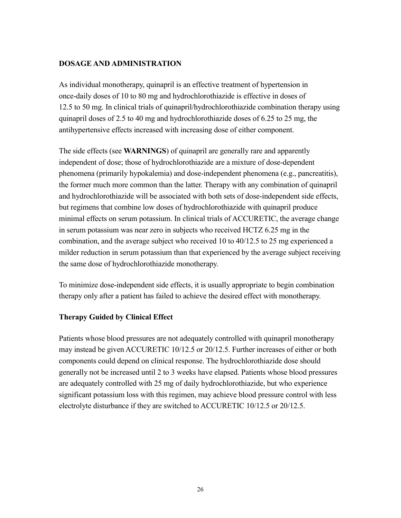#### **DOSAGE AND ADMINISTRATION**

As individual monotherapy, quinapril is an effective treatment of hypertension in once-daily doses of 10 to 80 mg and hydrochlorothiazide is effective in doses of 12.5 to 50 mg. In clinical trials of quinapril/hydrochlorothiazide combination therapy using quinapril doses of 2.5 to 40 mg and hydrochlorothiazide doses of 6.25 to 25 mg, the antihypertensive effects increased with increasing dose of either component.

The side effects (see **WARNINGS**) of quinapril are generally rare and apparently independent of dose; those of hydrochlorothiazide are a mixture of dose-dependent phenomena (primarily hypokalemia) and dose-independent phenomena (e.g., pancreatitis), the former much more common than the latter. Therapy with any combination of quinapril and hydrochlorothiazide will be associated with both sets of dose-independent side effects, but regimens that combine low doses of hydrochlorothiazide with quinapril produce minimal effects on serum potassium. In clinical trials of ACCURETIC, the average change in serum potassium was near zero in subjects who received HCTZ 6.25 mg in the combination, and the average subject who received 10 to 40/12.5 to 25 mg experienced a milder reduction in serum potassium than that experienced by the average subject receiving the same dose of hydrochlorothiazide monotherapy.

To minimize dose-independent side effects, it is usually appropriate to begin combination therapy only after a patient has failed to achieve the desired effect with monotherapy.

#### **Therapy Guided by Clinical Effect**

Patients whose blood pressures are not adequately controlled with quinapril monotherapy may instead be given ACCURETIC 10/12.5 or 20/12.5. Further increases of either or both components could depend on clinical response. The hydrochlorothiazide dose should generally not be increased until 2 to 3 weeks have elapsed. Patients whose blood pressures are adequately controlled with 25 mg of daily hydrochlorothiazide, but who experience significant potassium loss with this regimen, may achieve blood pressure control with less electrolyte disturbance if they are switched to ACCURETIC 10/12.5 or 20/12.5.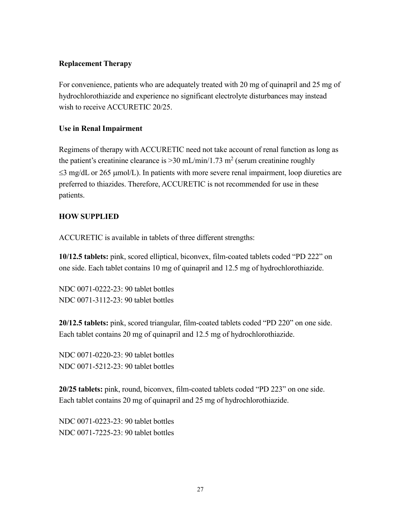#### **Replacement Therapy**

For convenience, patients who are adequately treated with 20 mg of quinapril and 25 mg of hydrochlorothiazide and experience no significant electrolyte disturbances may instead wish to receive ACCURETIC 20/25.

## **Use in Renal Impairment**

Regimens of therapy with ACCURETIC need not take account of renal function as long as the patient's creatinine clearance is  $>$  30 mL/min/1.73 m<sup>2</sup> (serum creatinine roughly  $\leq$ 3 mg/dL or 265 µmol/L). In patients with more severe renal impairment, loop diuretics are preferred to thiazides. Therefore, ACCURETIC is not recommended for use in these patients.

## **HOW SUPPLIED**

ACCURETIC is available in tablets of three different strengths:

**10/12.5 tablets:** pink, scored elliptical, biconvex, film-coated tablets coded "PD 222" on one side. Each tablet contains 10 mg of quinapril and 12.5 mg of hydrochlorothiazide.

NDC 0071-0222-23: 90 tablet bottles NDC 0071-3112-23: 90 tablet bottles

**20/12.5 tablets:** pink, scored triangular, film-coated tablets coded "PD 220" on one side. Each tablet contains 20 mg of quinapril and 12.5 mg of hydrochlorothiazide.

NDC 0071-0220-23: 90 tablet bottles NDC 0071-5212-23: 90 tablet bottles

**20/25 tablets:** pink, round, biconvex, film-coated tablets coded "PD 223" on one side. Each tablet contains 20 mg of quinapril and 25 mg of hydrochlorothiazide.

NDC 0071-0223-23: 90 tablet bottles NDC 0071-7225-23: 90 tablet bottles